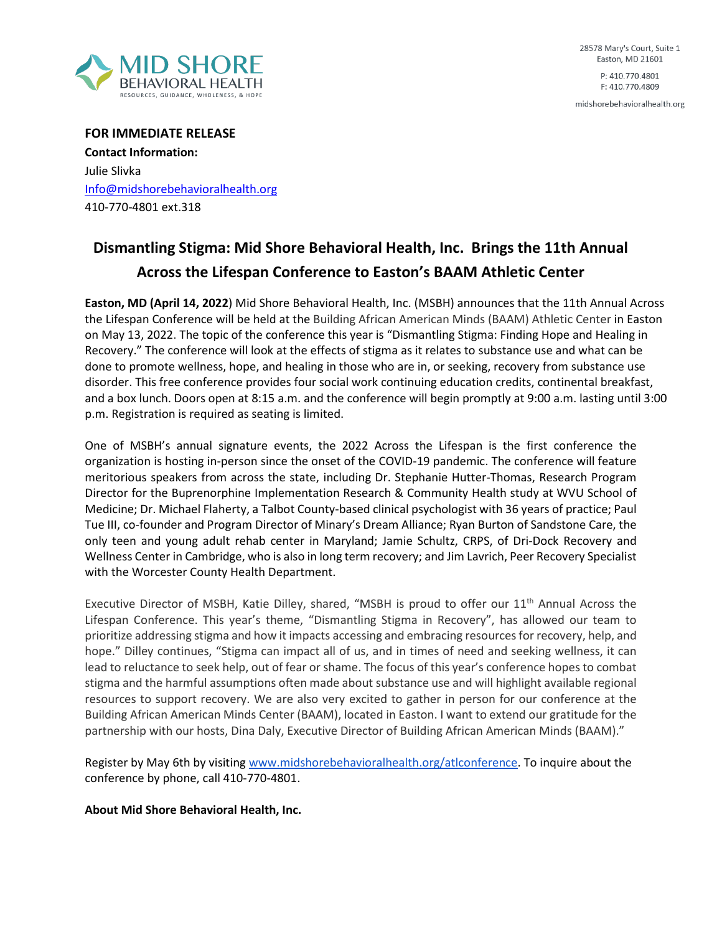

28578 Mary's Court, Suite 1 Easton, MD 21601 P: 410.770.4801 F: 410.770.4809

midshorebehavioralhealth.org

**FOR IMMEDIATE RELEASE Contact Information:** Julie Slivka Info@midshorebehavioralhealth.org 410-770-4801 ext.318

## **Dismantling Stigma: Mid Shore Behavioral Health, Inc. Brings the 11th Annual Across the Lifespan Conference to Easton's BAAM Athletic Center**

**Easton, MD (April 14, 2022**) Mid Shore Behavioral Health, Inc. (MSBH) announces that the 11th Annual Across the Lifespan Conference will be held at the Building African American Minds (BAAM) Athletic Center in Easton on May 13, 2022. The topic of the conference this year is "Dismantling Stigma: Finding Hope and Healing in Recovery." The conference will look at the effects of stigma as it relates to substance use and what can be done to promote wellness, hope, and healing in those who are in, or seeking, recovery from substance use disorder. This free conference provides four social work continuing education credits, continental breakfast, and a box lunch. Doors open at 8:15 a.m. and the conference will begin promptly at 9:00 a.m. lasting until 3:00 p.m. Registration is required as seating is limited.

One of MSBH's annual signature events, the 2022 Across the Lifespan is the first conference the organization is hosting in-person since the onset of the COVID-19 pandemic. The conference will feature meritorious speakers from across the state, including Dr. Stephanie Hutter-Thomas, Research Program Director for the Buprenorphine Implementation Research & Community Health study at WVU School of Medicine; Dr. Michael Flaherty, a Talbot County-based clinical psychologist with 36 years of practice; Paul Tue III, co-founder and Program Director of Minary's Dream Alliance; Ryan Burton of Sandstone Care, the only teen and young adult rehab center in Maryland; Jamie Schultz, CRPS, of Dri-Dock Recovery and Wellness Center in Cambridge, who is also in long term recovery; and Jim Lavrich, Peer Recovery Specialist with the Worcester County Health Department.

Executive Director of MSBH, Katie Dilley, shared, "MSBH is proud to offer our 11<sup>th</sup> Annual Across the Lifespan Conference. This year's theme, "Dismantling Stigma in Recovery", has allowed our team to prioritize addressing stigma and how it impacts accessing and embracing resources for recovery, help, and hope." Dilley continues, "Stigma can impact all of us, and in times of need and seeking wellness, it can lead to reluctance to seek help, out of fear or shame. The focus of this year's conference hopes to combat stigma and the harmful assumptions often made about substance use and will highlight available regional resources to support recovery. We are also very excited to gather in person for our conference at the Building African American Minds Center (BAAM), located in Easton. I want to extend our gratitude for the partnership with our hosts, Dina Daly, Executive Director of Building African American Minds (BAAM)."

Register by May 6th by visiting [www.midshorebehavioralhealth.org/atlconference.](http://www.midshorebehavioralhealth.org/atlconference) To inquire about the conference by phone, call 410-770-4801.

## **About Mid Shore Behavioral Health, Inc.**